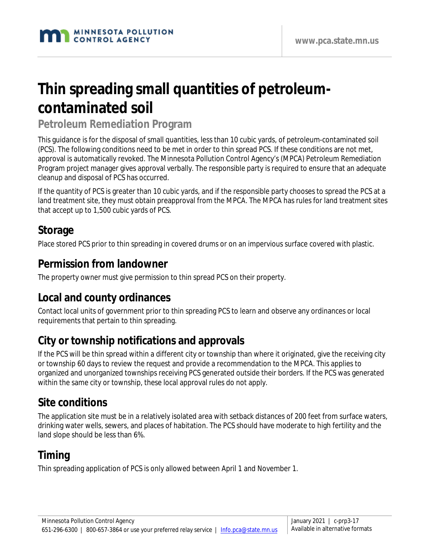# **Thin spreading small quantities of petroleumcontaminated soil**

**Petroleum Remediation Program**

This guidance is for the disposal of small quantities, less than 10 cubic yards, of petroleum-contaminated soil (PCS). The following conditions need to be met in order to thin spread PCS. If these conditions are not met, approval is automatically revoked. The Minnesota Pollution Control Agency's (MPCA) Petroleum Remediation Program project manager gives approval verbally. The responsible party is required to ensure that an adequate cleanup and disposal of PCS has occurred.

If the quantity of PCS is greater than 10 cubic yards, and if the responsible party chooses to spread the PCS at a land treatment site, they must obtain preapproval from the MPCA. The MPCA has rules for land treatment sites that accept up to 1,500 cubic yards of PCS.

### **Storage**

Place stored PCS prior to thin spreading in covered drums or on an impervious surface covered with plastic.

#### **Permission from landowner**

The property owner must give permission to thin spread PCS on their property.

## **Local and county ordinances**

Contact local units of government prior to thin spreading PCS to learn and observe any ordinances or local requirements that pertain to thin spreading.

## **City or township notifications and approvals**

If the PCS will be thin spread within a different city or township than where it originated, give the receiving city or township 60 days to review the request and provide a recommendation to the MPCA. This applies to organized and unorganized townships receiving PCS generated outside their borders. If the PCS was generated within the same city or township, these local approval rules do not apply.

### **Site conditions**

The application site must be in a relatively isolated area with setback distances of 200 feet from surface waters, drinking water wells, sewers, and places of habitation. The PCS should have moderate to high fertility and the land slope should be less than 6%.

## **Timing**

Thin spreading application of PCS is only allowed between April 1 and November 1.